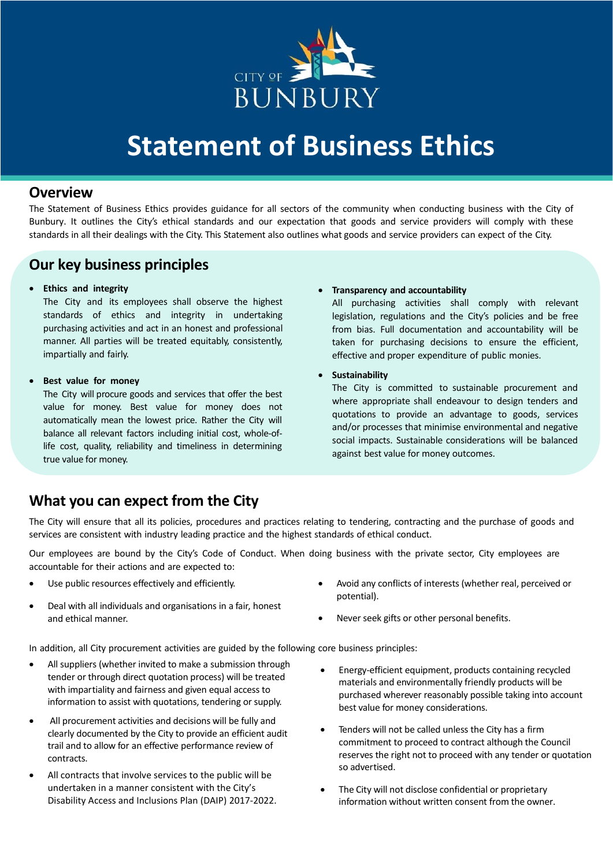

# **Statement of Business Ethics**

## **Overview**

The Statement of Business Ethics provides guidance for all sectors of the community when conducting business with the City of Bunbury. It outlines the City's ethical standards and our expectation that goods and service providers will comply with these standards in all their dealings with the City. This Statement also outlines what goods and service providers can expect of the City.

## **Our key business principles**

#### • **Ethics and integrity**

The City and its employees shall observe the highest standards of ethics and integrity in undertaking purchasing activities and act in an honest and professional manner. All parties will be treated equitably, consistently, impartially and fairly.

#### • **Best value for money**

The City will procure goods and services that offer the best value for money. Best value for money does not automatically mean the lowest price. Rather the City will balance all relevant factors including initial cost, whole-oflife cost, quality, reliability and timeliness in determining true value for money.

#### • **Transparency and accountability**

All purchasing activities shall comply with relevant legislation, regulations and the City's policies and be free from bias. Full documentation and accountability will be taken for purchasing decisions to ensure the efficient, effective and proper expenditure of public monies.

### • **Sustainability**

The City is committed to sustainable procurement and where appropriate shall endeavour to design tenders and quotations to provide an advantage to goods, services and/or processes that minimise environmental and negative social impacts. Sustainable considerations will be balanced against best value for money outcomes.

## **What you can expect from the City**

The City will ensure that all its policies, procedures and practices relating to tendering, contracting and the purchase of goods and services are consistent with industry leading practice and the highest standards of ethical conduct.

Our employees are bound by the City's Code of Conduct. When doing business with the private sector, City employees are accountable for their actions and are expected to:

- Use public resources effectively and efficiently.
- Deal with all individuals and organisations in a fair, honest and ethical manner.
- Avoid any conflicts of interests (whether real, perceived or potential).
- Never seek gifts or other personal benefits.

In addition, all City procurement activities are guided by the following core business principles:

- All suppliers (whether invited to make a submission through tender or through direct quotation process) will be treated with impartiality and fairness and given equal access to information to assist with quotations, tendering or supply.
- All procurement activities and decisions will be fully and clearly documented by the City to provide an efficient audit trail and to allow for an effective performance review of contracts.
- All contracts that involve services to the public will be undertaken in a manner consistent with the City's Disability Access and Inclusions Plan (DAIP) 2017-2022.
- Energy-efficient equipment, products containing recycled materials and environmentally friendly products will be purchased wherever reasonably possible taking into account best value for money considerations.
- Tenders will not be called unless the City has a firm commitment to proceed to contract although the Council reserves the right not to proceed with any tender or quotation so advertised.
- The City will not disclose confidential or proprietary information without written consent from the owner.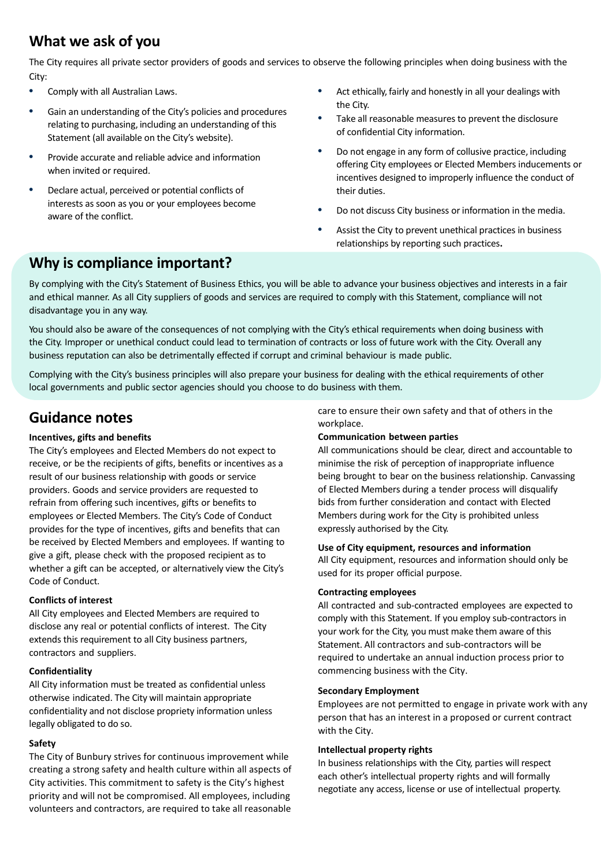# **What we ask of you**

The City requires all private sector providers of goods and services to observe the following principles when doing business with the City:

- **•** Comply with all Australian Laws.
- **•** Gain an understanding of the City's policies and procedures relating to purchasing, including an understanding of this Statement (all available on the City's website).
- **•** Provide accurate and reliable advice and information when invited or required.
- **•** Declare actual, perceived or potential conflicts of interests as soon as you or your employees become aware of the conflict.
- **•** Act ethically, fairly and honestly in all your dealings with the City.
- **•** Take all reasonable measures to prevent the disclosure of confidential City information.
- **•** Do not engage in any form of collusive practice, including offering City employees or Elected Members inducements or incentives designed to improperly influence the conduct of their duties.
- **•** Do not discuss City business or information in the media.
- **•** Assist the City to prevent unethical practices in business relationships by reporting such practices**.**

## **Why is compliance important?**

By complying with the City's Statement of Business Ethics, you will be able to advance your business objectives and interests in a fair and ethical manner. As all City suppliers of goods and services are required to comply with this Statement, compliance will not disadvantage you in any way.

You should also be aware of the consequences of not complying with the City's ethical requirements when doing business with the City. Improper or unethical conduct could lead to termination of contracts or loss of future work with the City. Overall any business reputation can also be detrimentally effected if corrupt and criminal behaviour is made public.

Complying with the City's business principles will also prepare your business for dealing with the ethical requirements of other local governments and public sector agencies should you choose to do business with them.

## **Guidance notes**

### **Incentives, gifts and benefits**

The City's employees and Elected Members do not expect to receive, or be the recipients of gifts, benefits or incentives as a result of our business relationship with goods or service providers. Goods and service providers are requested to refrain from offering such incentives, gifts or benefits to employees or Elected Members. The City's Code of Conduct provides for the type of incentives, gifts and benefits that can be received by Elected Members and employees. If wanting to give a gift, please check with the proposed recipient as to whether a gift can be accepted, or alternatively view the City's Code of Conduct.

### **Conflicts of interest**

All City employees and Elected Members are required to disclose any real or potential conflicts of interest. The City extends this requirement to all City business partners, contractors and suppliers.

### **Confidentiality**

All City information must be treated as confidential unless otherwise indicated. The City will maintain appropriate confidentiality and not disclose propriety information unless legally obligated to do so.

### **Safety**

The City of Bunbury strives for continuous improvement while creating a strong safety and health culture within all aspects of City activities. This commitment to safety is the City's highest priority and will not be compromised. All employees, including volunteers and contractors, are required to take all reasonable

care to ensure their own safety and that of others in the workplace.

### **Communication between parties**

All communications should be clear, direct and accountable to minimise the risk of perception of inappropriate influence being brought to bear on the business relationship. Canvassing of Elected Members during a tender process will disqualify bids from further consideration and contact with Elected Members during work for the City is prohibited unless expressly authorised by the City.

#### **Use of City equipment, resources and information**

All City equipment, resources and information should only be used for its proper official purpose.

#### **Contracting employees**

All contracted and sub-contracted employees are expected to comply with this Statement. If you employ sub-contractors in your work for the City, you must make them aware of this Statement. All contractors and sub-contractors will be required to undertake an annual induction process prior to commencing business with the City.

#### **Secondary Employment**

Employees are not permitted to engage in private work with any person that has an interest in a proposed or current contract with the City.

#### **Intellectual property rights**

In business relationships with the City, parties will respect each other's intellectual property rights and will formally negotiate any access, license or use of intellectual property.